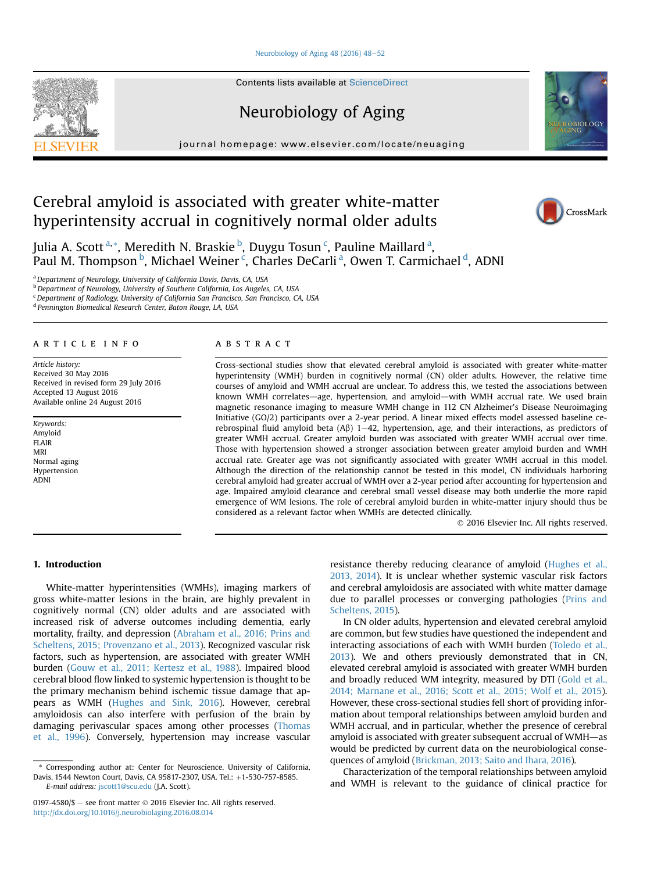#### Neurobiology of Aging  $48$  (2016)  $48-52$  $48-52$

**Contents lists available at ScienceDirect** 

# Neurobiology of Aging

journal homepage: [www.elsevier.com/locate/neuaging](http://www.elsevier.com/locate/neuaging)

# Cerebral amyloid is associated with greater white-matter hyperintensity accrual in cognitively normal older adults

Julia A. Scott<sup>a,</sup>\*, Meredith N. Braskie <sup>b</sup>, Duygu Tosun <sup>c</sup>, Pauline Maillard <sup>a</sup>, Paul M. Thompson <sup>b</sup>, Michael Weiner <sup>c</sup>, Charles DeCarli <sup>a</sup>, Owen T. Carmichael <sup>d</sup>, ADNI

<sup>a</sup> Department of Neurology, University of California Davis, Davis, CA, USA

<sup>b</sup> Department of Neurology, University of Southern California, Los Angeles, CA, USA

<sup>c</sup> Department of Radiology, University of California San Francisco, San Francisco, CA, USA

<sup>d</sup> Pennington Biomedical Research Center, Baton Rouge, LA, USA

# article info

Article history: Received 30 May 2016 Received in revised form 29 July 2016 Accepted 13 August 2016 Available online 24 August 2016

Keywords: Amyloid FLAIR MRI Normal aging Hypertension ADNI

## **ABSTRACT**

Cross-sectional studies show that elevated cerebral amyloid is associated with greater white-matter hyperintensity (WMH) burden in cognitively normal (CN) older adults. However, the relative time courses of amyloid and WMH accrual are unclear. To address this, we tested the associations between known WMH correlates—age, hypertension, and amyloid—with WMH accrual rate. We used brain magnetic resonance imaging to measure WMH change in 112 CN Alzheimer's Disease Neuroimaging Initiative (GO/2) participants over a 2-year period. A linear mixed effects model assessed baseline cerebrospinal fluid amyloid beta (A $\beta$ ) 1–42, hypertension, age, and their interactions, as predictors of greater WMH accrual. Greater amyloid burden was associated with greater WMH accrual over time. Those with hypertension showed a stronger association between greater amyloid burden and WMH accrual rate. Greater age was not significantly associated with greater WMH accrual in this model. Although the direction of the relationship cannot be tested in this model, CN individuals harboring cerebral amyloid had greater accrual of WMH over a 2-year period after accounting for hypertension and age. Impaired amyloid clearance and cerebral small vessel disease may both underlie the more rapid emergence of WM lesions. The role of cerebral amyloid burden in white-matter injury should thus be considered as a relevant factor when WMHs are detected clinically.

2016 Elsevier Inc. All rights reserved.

## 1. Introduction

White-matter hyperintensities (WMHs), imaging markers of gross white-matter lesions in the brain, are highly prevalent in cognitively normal (CN) older adults and are associated with increased risk of adverse outcomes including dementia, early mortality, frailty, and depression ([Abraham et al., 2016; Prins and](#page-3-0) [Scheltens, 2015; Provenzano et al., 2013\)](#page-3-0). Recognized vascular risk factors, such as hypertension, are associated with greater WMH burden [\(Gouw et al., 2011; Kertesz et al., 1988](#page-4-0)). Impaired blood cerebral blood flow linked to systemic hypertension is thought to be the primary mechanism behind ischemic tissue damage that appears as WMH ([Hughes and Sink, 2016\)](#page-4-0). However, cerebral amyloidosis can also interfere with perfusion of the brain by damaging perivascular spaces among other processes [\(Thomas](#page-4-0) [et al., 1996](#page-4-0)). Conversely, hypertension may increase vascular

E-mail address: [jscott1@scu.edu](mailto:jscott1@scu.edu) (J.A. Scott).

resistance thereby reducing clearance of amyloid ([Hughes et al.,](#page-4-0) [2013, 2014\)](#page-4-0). It is unclear whether systemic vascular risk factors and cerebral amyloidosis are associated with white matter damage due to parallel processes or converging pathologies ([Prins and](#page-4-0) [Scheltens, 2015](#page-4-0)).

In CN older adults, hypertension and elevated cerebral amyloid are common, but few studies have questioned the independent and interacting associations of each with WMH burden [\(Toledo et al.,](#page-4-0) [2013\)](#page-4-0). We and others previously demonstrated that in CN, elevated cerebral amyloid is associated with greater WMH burden and broadly reduced WM integrity, measured by DTI ([Gold et al.,](#page-3-0) [2014; Marnane et al., 2016; Scott et al., 2015; Wolf et al., 2015\)](#page-3-0). However, these cross-sectional studies fell short of providing information about temporal relationships between amyloid burden and WMH accrual, and in particular, whether the presence of cerebral amyloid is associated with greater subsequent accrual of WMH-as would be predicted by current data on the neurobiological consequences of amyloid [\(Brickman, 2013; Saito and Ihara, 2016\)](#page-3-0).

Characterization of the temporal relationships between amyloid and WMH is relevant to the guidance of clinical practice for







<sup>\*</sup> Corresponding author at: Center for Neuroscience, University of California, Davis, 1544 Newton Court, Davis, CA 95817-2307, USA. Tel.: +1-530-757-8585.

<sup>0197-4580/\$</sup>  $-$  see front matter  $\odot$  2016 Elsevier Inc. All rights reserved. <http://dx.doi.org/10.1016/j.neurobiolaging.2016.08.014>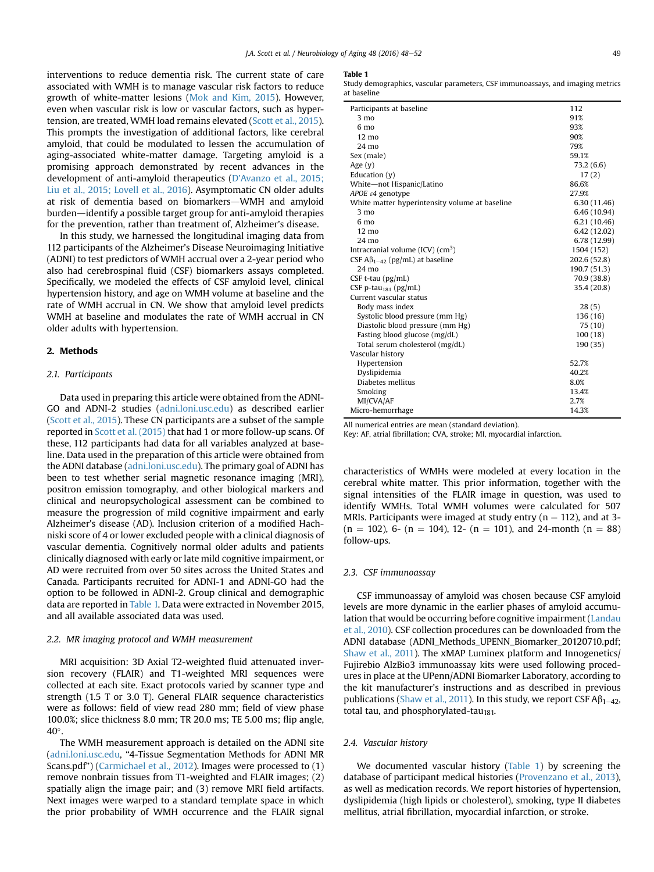<span id="page-1-0"></span>interventions to reduce dementia risk. The current state of care associated with WMH is to manage vascular risk factors to reduce growth of white-matter lesions [\(Mok and Kim, 2015\)](#page-4-0). However, even when vascular risk is low or vascular factors, such as hypertension, are treated, WMH load remains elevated [\(Scott et al., 2015](#page-4-0)). This prompts the investigation of additional factors, like cerebral amyloid, that could be modulated to lessen the accumulation of aging-associated white-matter damage. Targeting amyloid is a promising approach demonstrated by recent advances in the development of anti-amyloid therapeutics (D'[Avanzo et al., 2015;](#page-3-0) [Liu et al., 2015; Lovell et al., 2016](#page-3-0)). Asymptomatic CN older adults at risk of dementia based on biomarkers-WMH and amyloid burden-identify a possible target group for anti-amyloid therapies for the prevention, rather than treatment of, Alzheimer's disease.

In this study, we harnessed the longitudinal imaging data from 112 participants of the Alzheimer's Disease Neuroimaging Initiative (ADNI) to test predictors of WMH accrual over a 2-year period who also had cerebrospinal fluid (CSF) biomarkers assays completed. Specifically, we modeled the effects of CSF amyloid level, clinical hypertension history, and age on WMH volume at baseline and the rate of WMH accrual in CN. We show that amyloid level predicts WMH at baseline and modulates the rate of WMH accrual in CN older adults with hypertension.

### 2. Methods

#### 2.1. Participants

Data used in preparing this article were obtained from the ADNI-GO and ADNI-2 studies [\(adni.loni.usc.edu](http://adni.loni.usc.edu)) as described earlier ([Scott et al., 2015](#page-4-0)). These CN participants are a subset of the sample reported in [Scott et al. \(2015\)](#page-4-0) that had 1 or more follow-up scans. Of these, 112 participants had data for all variables analyzed at baseline. Data used in the preparation of this article were obtained from the ADNI database [\(adni.loni.usc.edu](http://adni.loni.usc.edu)). The primary goal of ADNI has been to test whether serial magnetic resonance imaging (MRI), positron emission tomography, and other biological markers and clinical and neuropsychological assessment can be combined to measure the progression of mild cognitive impairment and early Alzheimer's disease (AD). Inclusion criterion of a modified Hachniski score of 4 or lower excluded people with a clinical diagnosis of vascular dementia. Cognitively normal older adults and patients clinically diagnosed with early or late mild cognitive impairment, or AD were recruited from over 50 sites across the United States and Canada. Participants recruited for ADNI-1 and ADNI-GO had the option to be followed in ADNI-2. Group clinical and demographic data are reported in Table 1. Data were extracted in November 2015, and all available associated data was used.

#### 2.2. MR imaging protocol and WMH measurement

MRI acquisition: 3D Axial T2-weighted fluid attenuated inversion recovery (FLAIR) and T1-weighted MRI sequences were collected at each site. Exact protocols varied by scanner type and strength (1.5 T or 3.0 T). General FLAIR sequence characteristics were as follows: field of view read 280 mm; field of view phase 100.0%; slice thickness 8.0 mm; TR 20.0 ms; TE 5.00 ms; flip angle, 40°.

The WMH measurement approach is detailed on the ADNI site ([adni.loni.usc.edu,](http://adni.loni.usc.edu) "4-Tissue Segmentation Methods for ADNI MR Scans.pdf") ([Carmichael et al., 2012\)](#page-3-0). Images were processed to (1) remove nonbrain tissues from T1-weighted and FLAIR images; (2) spatially align the image pair; and (3) remove MRI field artifacts. Next images were warped to a standard template space in which the prior probability of WMH occurrence and the FLAIR signal

#### Table 1

Study demographics, vascular parameters, CSF immunoassays, and imaging metrics at baseline

| 112          |
|--------------|
| 91%          |
| 93%          |
| 90%          |
| 79%          |
| 59.1%        |
| 73.2 (6.6)   |
| 17(2)        |
| 86.6%        |
| 27.9%        |
| 6.30 (11.46) |
| 6.46 (10.94) |
| 6.21(10.46)  |
| 6.42(12.02)  |
| 6.78 (12.99) |
| 1504 (152)   |
| 202.6 (52.8) |
| 190.7 (51.3) |
| 70.9 (38.8)  |
| 35.4 (20.8)  |
|              |
| 28(5)        |
| 136 (16)     |
| 75 (10)      |
| 100(18)      |
| 190 (35)     |
|              |
| 52.7%        |
| 40.2%        |
| 8.0%         |
| 13.4%        |
| 2.7%         |
| 14.3%        |
|              |

All numerical entries are mean (standard deviation).

Key: AF, atrial fibrillation; CVA, stroke; MI, myocardial infarction.

characteristics of WMHs were modeled at every location in the cerebral white matter. This prior information, together with the signal intensities of the FLAIR image in question, was used to identify WMHs. Total WMH volumes were calculated for 507 MRIs. Participants were imaged at study entry ( $n = 112$ ), and at 3- $(n = 102)$ , 6-  $(n = 104)$ , 12-  $(n = 101)$ , and 24-month  $(n = 88)$ follow-ups.

#### 2.3. CSF immunoassay

CSF immunoassay of amyloid was chosen because CSF amyloid levels are more dynamic in the earlier phases of amyloid accumulation that would be occurring before cognitive impairment ([Landau](#page-4-0) [et al., 2010](#page-4-0)). CSF collection procedures can be downloaded from the ADNI database (ADNI\_Methods\_UPENN\_Biomarker\_20120710.pdf; [Shaw et al., 2011](#page-4-0)). The xMAP Luminex platform and Innogenetics/ Fujirebio AlzBio3 immunoassay kits were used following procedures in place at the UPenn/ADNI Biomarker Laboratory, according to the kit manufacturer's instructions and as described in previous publications [\(Shaw et al., 2011](#page-4-0)). In this study, we report CSF  $\mathsf{A}\beta_{1-42}$ , total tau, and phosphorylated-tau<sub>181</sub>.

#### 2.4. Vascular history

We documented vascular history (Table 1) by screening the database of participant medical histories ([Provenzano et al., 2013\)](#page-4-0), as well as medication records. We report histories of hypertension, dyslipidemia (high lipids or cholesterol), smoking, type II diabetes mellitus, atrial fibrillation, myocardial infarction, or stroke.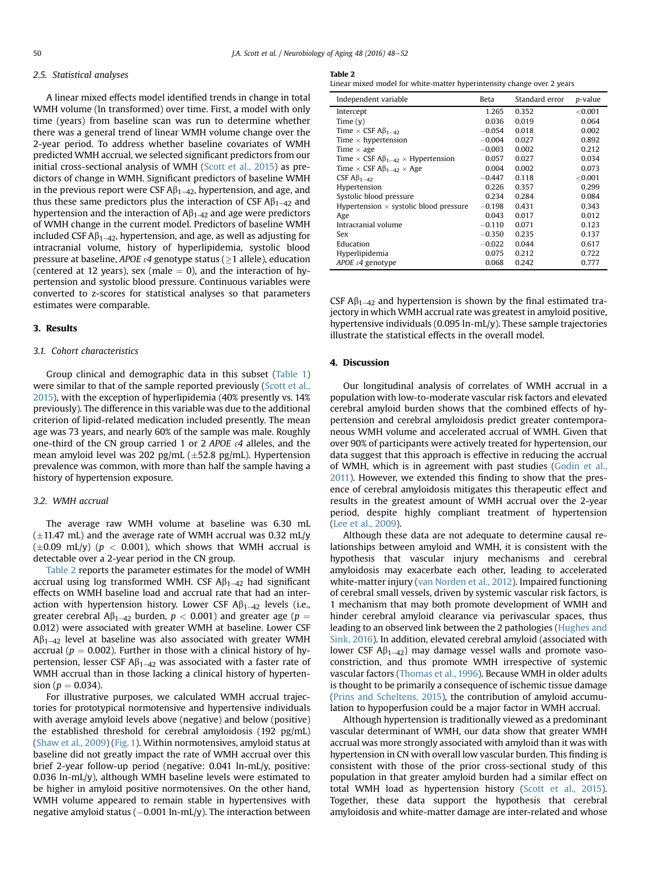## <span id="page-2-0"></span>2.5. Statistical analyses

A linear mixed effects model identified trends in change in total WMH volume (ln transformed) over time. First, a model with only time (years) from baseline scan was run to determine whether there was a general trend of linear WMH volume change over the 2-year period. To address whether baseline covariates of WMH predicted WMH accrual, we selected significant predictors from our initial cross-sectional analysis of WMH [\(Scott et al., 2015](#page-4-0)) as predictors of change in WMH. Significant predictors of baseline WMH in the previous report were CSF  $\mathsf{AB}_{1-42}$ , hypertension, and age, and thus these same predictors plus the interaction of CSF  $\mathsf{AB}_{1-42}$  and hypertension and the interaction of  $A\beta_{1-42}$  and age were predictors of WMH change in the current model. Predictors of baseline WMH included CSF  $A\beta_{1-42}$ , hypertension, and age, as well as adjusting for intracranial volume, history of hyperlipidemia, systolic blood pressure at baseline, APOE  $\varepsilon$ 4 genotype status ( $\geq$ 1 allele), education (centered at 12 years), sex (male  $= 0$ ), and the interaction of hypertension and systolic blood pressure. Continuous variables were converted to z-scores for statistical analyses so that parameters estimates were comparable.

#### 3. Results

## 3.1. Cohort characteristics

Group clinical and demographic data in this subset ([Table 1\)](#page-1-0) were similar to that of the sample reported previously ([Scott et al.,](#page-4-0) [2015](#page-4-0)), with the exception of hyperlipidemia (40% presently vs. 14% previously). The difference in this variable was due to the additional criterion of lipid-related medication included presently. The mean age was 73 years, and nearly 60% of the sample was male. Roughly one-third of the CN group carried 1 or 2 APOE  $\varepsilon$ 4 alleles, and the mean amyloid level was 202 pg/mL  $(\pm 52.8 \text{ pg/mL})$ . Hypertension prevalence was common, with more than half the sample having a history of hypertension exposure.

#### 3.2. WMH accrual

The average raw WMH volume at baseline was 6.30 mL  $(\pm 11.47 \text{ mL})$  and the average rate of WMH accrual was 0.32 mL/y  $(\pm 0.09 \text{ mL/v})$  ( $p < 0.001$ ), which shows that WMH accrual is detectable over a 2-year period in the CN group.

Table 2 reports the parameter estimates for the model of WMH accrual using log transformed WMH. CSF  $A\beta_{1-42}$  had significant effects on WMH baseline load and accrual rate that had an interaction with hypertension history. Lower CSF  $\mathsf{A}\beta_{1-42}$  levels (i.e., greater cerebral  $\mathsf{A}\beta_{1-42}$  burden,  $p < 0.001$ ) and greater age ( $p =$ 0.012) were associated with greater WMH at baseline. Lower CSF  $A\beta_{1-42}$  level at baseline was also associated with greater WMH accrual ( $p = 0.002$ ). Further in those with a clinical history of hypertension, lesser CSF  $\mathsf{AB}_{1-42}$  was associated with a faster rate of WMH accrual than in those lacking a clinical history of hypertension ( $p = 0.034$ ).

For illustrative purposes, we calculated WMH accrual trajectories for prototypical normotensive and hypertensive individuals with average amyloid levels above (negative) and below (positive) the established threshold for cerebral amyloidosis (192 pg/mL) [\(Shaw et al., 2009](#page-4-0)) [\(Fig. 1](#page-3-0)). Within normotensives, amyloid status at baseline did not greatly impact the rate of WMH accrual over this brief 2-year follow-up period (negative: 0.041 ln-mL/y, positive: 0.036 ln-mL/y), although WMH baseline levels were estimated to be higher in amyloid positive normotensives. On the other hand, WMH volume appeared to remain stable in hypertensives with negative amyloid status  $(-0.001 \ln\text{-mL/y})$ . The interaction between

## Table 2

Linear mixed model for white-matter hyperintensity change over 2 years

| Independent variable                                     | Beta     | Standard error | p-value |
|----------------------------------------------------------|----------|----------------|---------|
| Intercept                                                | 1.265    | 0.352          | < 0.001 |
| Time $(v)$                                               | 0.036    | 0.019          | 0.064   |
| Time $\times$ CSF A $\beta_{1-42}$                       | $-0.054$ | 0.018          | 0.002   |
| Time $\times$ hypertension                               | $-0.004$ | 0.027          | 0.892   |
| Time $\times$ age                                        | $-0.003$ | 0.002          | 0.212   |
| Time $\times$ CSF A $\beta_{1-42}$ $\times$ Hypertension | 0.057    | 0.027          | 0.034   |
| Time $\times$ CSF A $\beta_{1-42}$ $\times$ Age          | 0.004    | 0.002          | 0.073   |
| CSF $A\beta_{1-42}$                                      | $-0.447$ | 0.118          | < 0.001 |
| Hypertension                                             | 0.226    | 0.357          | 0.299   |
| Systolic blood pressure                                  | 0.234    | 0.284          | 0.084   |
| Hypertension $\times$ systolic blood pressure            | $-0.198$ | 0.431          | 0.343   |
| Age                                                      | 0.043    | 0.017          | 0.012   |
| Intracranial volume                                      | $-0.110$ | 0.071          | 0.123   |
| Sex                                                      | $-0.350$ | 0.235          | 0.137   |
| Education                                                | $-0.022$ | 0.044          | 0.617   |
| Hyperlipidemia                                           | 0.075    | 0.212          | 0.722   |
| APOE $\varepsilon$ 4 genotype                            | 0.068    | 0.242          | 0.777   |

CSF  $\mathsf{AB}_{1-42}$  and hypertension is shown by the final estimated trajectory in which WMH accrual rate was greatest in amyloid positive, hypertensive individuals (0.095 ln-mL/y). These sample trajectories illustrate the statistical effects in the overall model.

#### 4. Discussion

Our longitudinal analysis of correlates of WMH accrual in a population with low-to-moderate vascular risk factors and elevated cerebral amyloid burden shows that the combined effects of hypertension and cerebral amyloidosis predict greater contemporaneous WMH volume and accelerated accrual of WMH. Given that over 90% of participants were actively treated for hypertension, our data suggest that this approach is effective in reducing the accrual of WMH, which is in agreement with past studies ([Godin et al.,](#page-3-0) [2011\)](#page-3-0). However, we extended this finding to show that the presence of cerebral amyloidosis mitigates this therapeutic effect and results in the greatest amount of WMH accrual over the 2-year period, despite highly compliant treatment of hypertension ([Lee et al., 2009\)](#page-4-0).

Although these data are not adequate to determine causal relationships between amyloid and WMH, it is consistent with the hypothesis that vascular injury mechanisms and cerebral amyloidosis may exacerbate each other, leading to accelerated white-matter injury ([van Norden et al., 2012](#page-4-0)). Impaired functioning of cerebral small vessels, driven by systemic vascular risk factors, is 1 mechanism that may both promote development of WMH and hinder cerebral amyloid clearance via perivascular spaces, thus leading to an observed link between the 2 pathologies ([Hughes and](#page-4-0) [Sink, 2016](#page-4-0)). In addition, elevated cerebral amyloid (associated with lower CSF  $A\beta_{1-42}$ ) may damage vessel walls and promote vasoconstriction, and thus promote WMH irrespective of systemic vascular factors [\(Thomas et al., 1996](#page-4-0)). Because WMH in older adults is thought to be primarily a consequence of ischemic tissue damage ([Prins and Scheltens, 2015](#page-4-0)), the contribution of amyloid accumulation to hypoperfusion could be a major factor in WMH accrual.

Although hypertension is traditionally viewed as a predominant vascular determinant of WMH, our data show that greater WMH accrual was more strongly associated with amyloid than it was with hypertension in CN with overall low vascular burden. This finding is consistent with those of the prior cross-sectional study of this population in that greater amyloid burden had a similar effect on total WMH load as hypertension history [\(Scott et al., 2015\)](#page-4-0). Together, these data support the hypothesis that cerebral amyloidosis and white-matter damage are inter-related and whose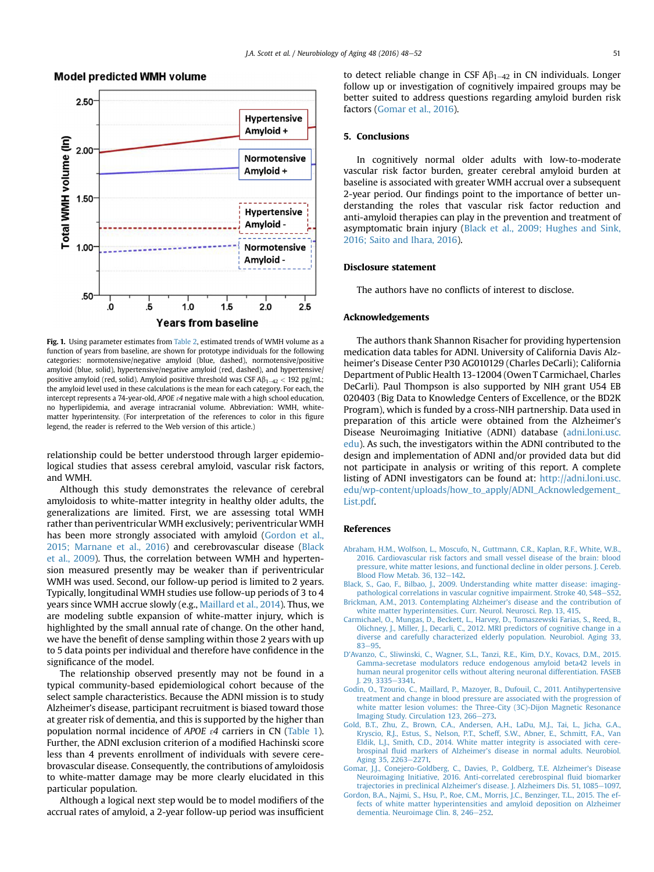

# <span id="page-3-0"></span>**Model predicted WMH volume**

Fig. 1. Using parameter estimates from [Table 2,](#page-2-0) estimated trends of WMH volume as a function of years from baseline, are shown for prototype individuals for the following categories: normotensive/negative amyloid (blue, dashed), normotensive/positive amyloid (blue, solid), hypertensive/negative amyloid (red, dashed), and hypertensive/ positive amyloid (red, solid). Amyloid positive threshold was CSF  $\mathsf{A}\beta_{1-42}$  < 192 pg/mL; the amyloid level used in these calculations is the mean for each category. For each, the intercept represents a 74-year-old, APOE  $\varepsilon$ 4 negative male with a high school education, no hyperlipidemia, and average intracranial volume. Abbreviation: WMH, whitematter hyperintensity. (For interpretation of the references to color in this figure legend, the reader is referred to the Web version of this article.)

relationship could be better understood through larger epidemiological studies that assess cerebral amyloid, vascular risk factors, and WMH.

Although this study demonstrates the relevance of cerebral amyloidosis to white-matter integrity in healthy older adults, the generalizations are limited. First, we are assessing total WMH rather than periventricular WMH exclusively; periventricular WMH has been more strongly associated with amyloid (Gordon et al., 2015; Marnane et al., 2016) and cerebrovascular disease (Black et al., 2009). Thus, the correlation between WMH and hypertension measured presently may be weaker than if periventricular WMH was used. Second, our follow-up period is limited to 2 years. Typically, longitudinal WMH studies use follow-up periods of 3 to 4 years since WMH accrue slowly (e.g., [Maillard et al., 2014](#page-4-0)). Thus, we are modeling subtle expansion of white-matter injury, which is highlighted by the small annual rate of change. On the other hand, we have the benefit of dense sampling within those 2 years with up to 5 data points per individual and therefore have confidence in the significance of the model.

The relationship observed presently may not be found in a typical community-based epidemiological cohort because of the select sample characteristics. Because the ADNI mission is to study Alzheimer's disease, participant recruitment is biased toward those at greater risk of dementia, and this is supported by the higher than population normal incidence of APOE  $\varepsilon$ 4 carriers in CN [\(Table 1](#page-1-0)). Further, the ADNI exclusion criterion of a modified Hachinski score less than 4 prevents enrollment of individuals with severe cerebrovascular disease. Consequently, the contributions of amyloidosis to white-matter damage may be more clearly elucidated in this particular population.

Although a logical next step would be to model modifiers of the accrual rates of amyloid, a 2-year follow-up period was insufficient to detect reliable change in CSF  $\mathsf{AB}_{1-42}$  in CN individuals. Longer follow up or investigation of cognitively impaired groups may be better suited to address questions regarding amyloid burden risk factors (Gomar et al., 2016).

### 5. Conclusions

In cognitively normal older adults with low-to-moderate vascular risk factor burden, greater cerebral amyloid burden at baseline is associated with greater WMH accrual over a subsequent 2-year period. Our findings point to the importance of better understanding the roles that vascular risk factor reduction and anti-amyloid therapies can play in the prevention and treatment of asymptomatic brain injury (Black et al., 2009; Hughes and Sink, 2016; Saito and Ihara, 2016).

#### Disclosure statement

The authors have no conflicts of interest to disclose.

### Acknowledgements

The authors thank Shannon Risacher for providing hypertension medication data tables for ADNI. University of California Davis Alzheimer's Disease Center P30 AG010129 (Charles DeCarli); California Department of Public Health 13-12004 (Owen T Carmichael, Charles DeCarli). Paul Thompson is also supported by NIH grant U54 EB 020403 (Big Data to Knowledge Centers of Excellence, or the BD2K Program), which is funded by a cross-NIH partnership. Data used in preparation of this article were obtained from the Alzheimer's Disease Neuroimaging Initiative (ADNI) database ([adni.loni.usc.](http://adni.loni.usc.edu) [edu](http://adni.loni.usc.edu)). As such, the investigators within the ADNI contributed to the design and implementation of ADNI and/or provided data but did not participate in analysis or writing of this report. A complete listing of ADNI investigators can be found at: [http://adni.loni.usc.](http://adni.loni.usc.edu/wp-content/uploads/how_to_apply/ADNI_Acknowledgement_List.pdf) [edu/wp-content/uploads/how\\_to\\_apply/ADNI\\_Acknowledgement\\_](http://adni.loni.usc.edu/wp-content/uploads/how_to_apply/ADNI_Acknowledgement_List.pdf) [List.pdf.](http://adni.loni.usc.edu/wp-content/uploads/how_to_apply/ADNI_Acknowledgement_List.pdf)

#### References

- [Abraham, H.M., Wolfson, L., Moscufo, N., Guttmann, C.R., Kaplan, R.F., White, W.B.,](http://refhub.elsevier.com/S0197-4580(16)30192-0/sref1) [2016. Cardiovascular risk factors and small vessel disease of the brain: blood](http://refhub.elsevier.com/S0197-4580(16)30192-0/sref1) [pressure, white matter lesions, and functional decline in older persons. J. Cereb.](http://refhub.elsevier.com/S0197-4580(16)30192-0/sref1) Blood Flow Metab.  $36, 132-142$ .
- [Black, S., Gao, F., Bilbao, J., 2009. Understanding white matter disease: imaging](http://refhub.elsevier.com/S0197-4580(16)30192-0/sref2)[pathological correlations in vascular cognitive impairment. Stroke 40, S48](http://refhub.elsevier.com/S0197-4580(16)30192-0/sref2)–[S52](http://refhub.elsevier.com/S0197-4580(16)30192-0/sref2). [Brickman, A.M., 2013. Contemplating Alzheimer](http://refhub.elsevier.com/S0197-4580(16)30192-0/sref3)'s disease and the contribution of
- [white matter hyperintensities. Curr. Neurol. Neurosci. Rep. 13, 415.](http://refhub.elsevier.com/S0197-4580(16)30192-0/sref3)
- [Carmichael, O., Mungas, D., Beckett, L., Harvey, D., Tomaszewski Farias, S., Reed, B.,](http://refhub.elsevier.com/S0197-4580(16)30192-0/sref4) [Olichney, J., Miller, J., Decarli, C., 2012. MRI predictors of cognitive change in a](http://refhub.elsevier.com/S0197-4580(16)30192-0/sref4) [diverse and carefully characterized elderly population. Neurobiol. Aging 33,](http://refhub.elsevier.com/S0197-4580(16)30192-0/sref4) [83](http://refhub.elsevier.com/S0197-4580(16)30192-0/sref4)-[95](http://refhub.elsevier.com/S0197-4580(16)30192-0/sref4)
- D'[Avanzo, C., Sliwinski, C., Wagner, S.L., Tanzi, R.E., Kim, D.Y., Kovacs, D.M., 2015.](http://refhub.elsevier.com/S0197-4580(16)30192-0/sref5) [Gamma-secretase modulators reduce endogenous amyloid beta42 levels in](http://refhub.elsevier.com/S0197-4580(16)30192-0/sref5) [human neural progenitor cells without altering neuronal differentiation. FASEB](http://refhub.elsevier.com/S0197-4580(16)30192-0/sref5) I. 29, 3335-[3341.](http://refhub.elsevier.com/S0197-4580(16)30192-0/sref5)
- [Godin, O., Tzourio, C., Maillard, P., Mazoyer, B., Dufouil, C., 2011. Antihypertensive](http://refhub.elsevier.com/S0197-4580(16)30192-0/sref6) [treatment and change in blood pressure are associated with the progression of](http://refhub.elsevier.com/S0197-4580(16)30192-0/sref6) [white matter lesion volumes: the Three-City \(3C\)-Dijon Magnetic Resonance](http://refhub.elsevier.com/S0197-4580(16)30192-0/sref6) [Imaging Study. Circulation 123, 266](http://refhub.elsevier.com/S0197-4580(16)30192-0/sref6)-[273](http://refhub.elsevier.com/S0197-4580(16)30192-0/sref6).
- [Gold, B.T., Zhu, Z., Brown, C.A., Andersen, A.H., LaDu, M.J., Tai, L., Jicha, G.A.,](http://refhub.elsevier.com/S0197-4580(16)30192-0/sref7) [Kryscio, R.J., Estus, S., Nelson, P.T., Scheff, S.W., Abner, E., Schmitt, F.A., Van](http://refhub.elsevier.com/S0197-4580(16)30192-0/sref7) [Eldik, L.J., Smith, C.D., 2014. White matter integrity is associated with cere](http://refhub.elsevier.com/S0197-4580(16)30192-0/sref7)brospinal fluid markers of Alzheimer'[s disease in normal adults. Neurobiol.](http://refhub.elsevier.com/S0197-4580(16)30192-0/sref7) [Aging 35, 2263](http://refhub.elsevier.com/S0197-4580(16)30192-0/sref7)-[2271.](http://refhub.elsevier.com/S0197-4580(16)30192-0/sref7)
- [Gomar, J.J., Conejero-Goldberg, C., Davies, P., Goldberg, T.E. Alzheimer](http://refhub.elsevier.com/S0197-4580(16)30192-0/sref8)'s Disease [Neuroimaging Initiative, 2016. Anti-correlated cerebrospinal](http://refhub.elsevier.com/S0197-4580(16)30192-0/sref8) fluid biomarker trajectories in preclinical Alzheimer'[s disease. J. Alzheimers Dis. 51, 1085](http://refhub.elsevier.com/S0197-4580(16)30192-0/sref8)-[1097.](http://refhub.elsevier.com/S0197-4580(16)30192-0/sref8)
- [Gordon, B.A., Najmi, S., Hsu, P., Roe, C.M., Morris, J.C., Benzinger, T.L., 2015. The ef](http://refhub.elsevier.com/S0197-4580(16)30192-0/sref9)[fects of white matter hyperintensities and amyloid deposition on Alzheimer](http://refhub.elsevier.com/S0197-4580(16)30192-0/sref9) [dementia. Neuroimage Clin. 8, 246](http://refhub.elsevier.com/S0197-4580(16)30192-0/sref9)-[252](http://refhub.elsevier.com/S0197-4580(16)30192-0/sref9).